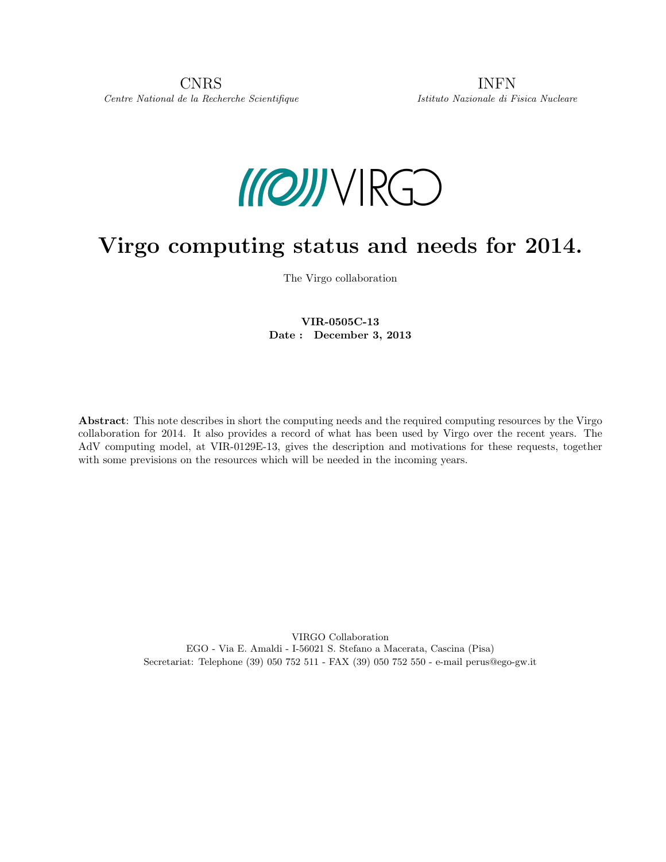

# Virgo computing status and needs for 2014.

The Virgo collaboration

### VIR-0505C-13 Date : December 3, 2013

Abstract: This note describes in short the computing needs and the required computing resources by the Virgo collaboration for 2014. It also provides a record of what has been used by Virgo over the recent years. The AdV computing model, at VIR-0129E-13, gives the description and motivations for these requests, together with some previsions on the resources which will be needed in the incoming years.

> VIRGO Collaboration EGO - Via E. Amaldi - I-56021 S. Stefano a Macerata, Cascina (Pisa) Secretariat: Telephone (39) 050 752 511 - FAX (39) 050 752 550 - e-mail perus@ego-gw.it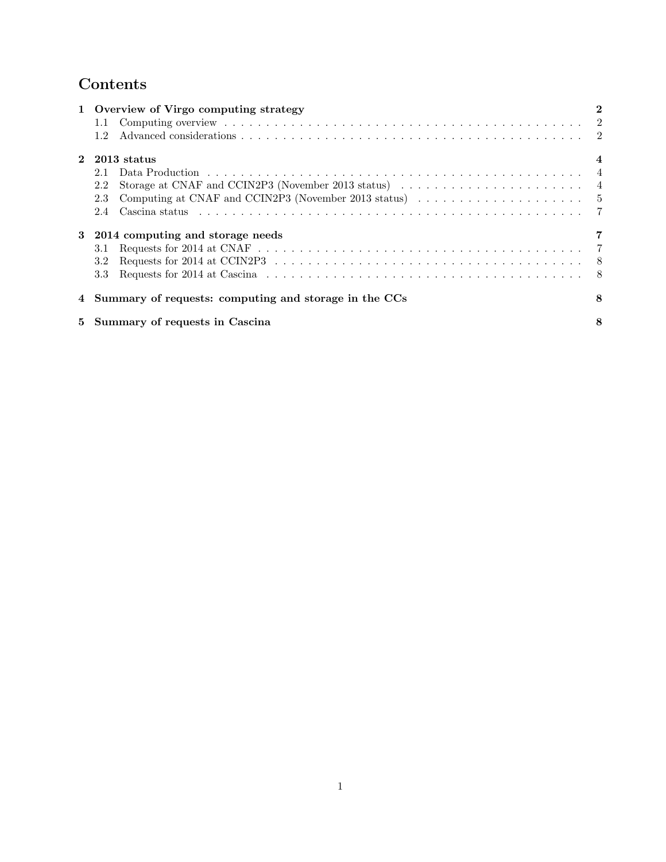## Contents

| 1 Overview of Virgo computing strategy                                                                        | $\bf{2}$ |
|---------------------------------------------------------------------------------------------------------------|----------|
|                                                                                                               |          |
| 1.2                                                                                                           |          |
| 2 2013 status                                                                                                 |          |
| 2.1                                                                                                           |          |
| 2.2                                                                                                           |          |
| Computing at CNAF and CCIN2P3 (November 2013 status) $\dots \dots \dots \dots \dots \dots \dots \dots$<br>2.3 |          |
| 2.4                                                                                                           |          |
| 3 2014 computing and storage needs                                                                            |          |
| 3.1                                                                                                           |          |
| 3.2                                                                                                           |          |
| 3.3                                                                                                           |          |
| 4 Summary of requests: computing and storage in the CCs                                                       | 8        |
| 5 Summary of requests in Cascina                                                                              | 8        |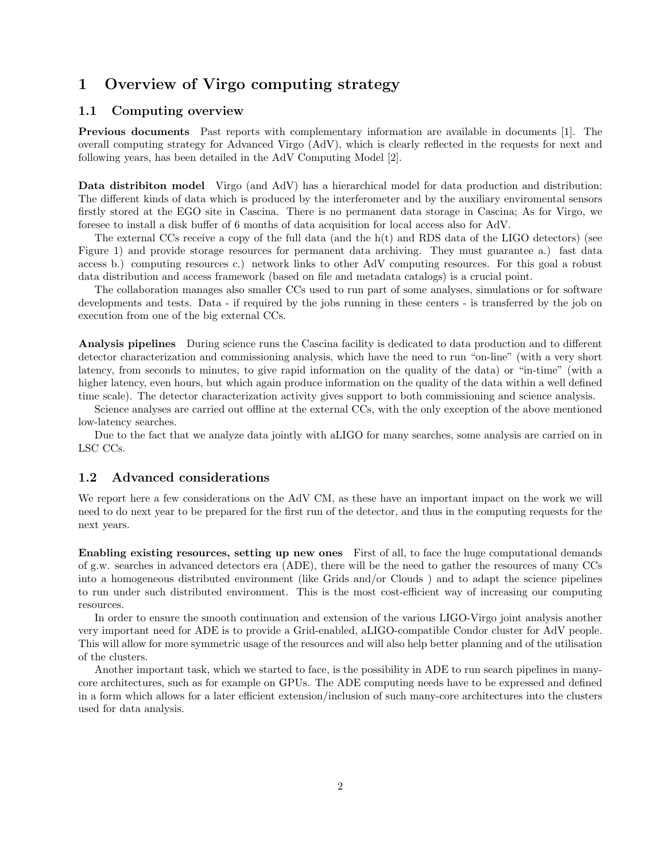## 1 Overview of Virgo computing strategy

#### 1.1 Computing overview

Previous documents Past reports with complementary information are available in documents [1]. The overall computing strategy for Advanced Virgo (AdV), which is clearly reflected in the requests for next and following years, has been detailed in the AdV Computing Model [2].

Data distribiton model Virgo (and AdV) has a hierarchical model for data production and distribution: The different kinds of data which is produced by the interferometer and by the auxiliary enviromental sensors firstly stored at the EGO site in Cascina. There is no permanent data storage in Cascina; As for Virgo, we foresee to install a disk buffer of 6 months of data acquisition for local access also for AdV.

The external CCs receive a copy of the full data (and the  $h(t)$  and RDS data of the LIGO detectors) (see Figure 1) and provide storage resources for permanent data archiving. They must guarantee a.) fast data access b.) computing resources c.) network links to other AdV computing resources. For this goal a robust data distribution and access framework (based on file and metadata catalogs) is a crucial point.

The collaboration manages also smaller CCs used to run part of some analyses, simulations or for software developments and tests. Data - if required by the jobs running in these centers - is transferred by the job on execution from one of the big external CCs.

Analysis pipelines During science runs the Cascina facility is dedicated to data production and to different detector characterization and commissioning analysis, which have the need to run "on-line" (with a very short latency, from seconds to minutes, to give rapid information on the quality of the data) or "in-time" (with a higher latency, even hours, but which again produce information on the quality of the data within a well defined time scale). The detector characterization activity gives support to both commissioning and science analysis.

Science analyses are carried out offline at the external CCs, with the only exception of the above mentioned low-latency searches.

Due to the fact that we analyze data jointly with aLIGO for many searches, some analysis are carried on in LSC CCs.

#### 1.2 Advanced considerations

We report here a few considerations on the AdV CM, as these have an important impact on the work we will need to do next year to be prepared for the first run of the detector, and thus in the computing requests for the next years.

Enabling existing resources, setting up new ones First of all, to face the huge computational demands of g.w. searches in advanced detectors era (ADE), there will be the need to gather the resources of many CCs into a homogeneous distributed environment (like Grids and/or Clouds ) and to adapt the science pipelines to run under such distributed environment. This is the most cost-efficient way of increasing our computing resources.

In order to ensure the smooth continuation and extension of the various LIGO-Virgo joint analysis another very important need for ADE is to provide a Grid-enabled, aLIGO-compatible Condor cluster for AdV people. This will allow for more symmetric usage of the resources and will also help better planning and of the utilisation of the clusters.

Another important task, which we started to face, is the possibility in ADE to run search pipelines in manycore architectures, such as for example on GPUs. The ADE computing needs have to be expressed and defined in a form which allows for a later efficient extension/inclusion of such many-core architectures into the clusters used for data analysis.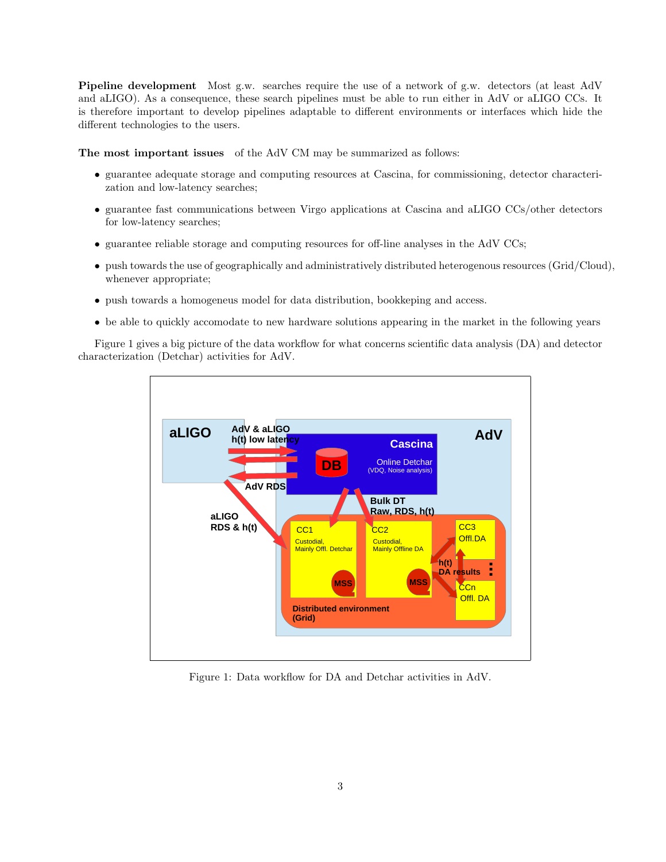Pipeline development Most g.w. searches require the use of a network of g.w. detectors (at least AdV and aLIGO). As a consequence, these search pipelines must be able to run either in AdV or aLIGO CCs. It is therefore important to develop pipelines adaptable to different environments or interfaces which hide the different technologies to the users.

The most important issues of the AdV CM may be summarized as follows:

- guarantee adequate storage and computing resources at Cascina, for commissioning, detector characterization and low-latency searches;
- guarantee fast communications between Virgo applications at Cascina and aLIGO CCs/other detectors for low-latency searches;
- guarantee reliable storage and computing resources for off-line analyses in the AdV CCs;
- push towards the use of geographically and administratively distributed heterogenous resources (Grid/Cloud), whenever appropriate;
- push towards a homogeneus model for data distribution, bookkeping and access.
- be able to quickly accomodate to new hardware solutions appearing in the market in the following years

Figure 1 gives a big picture of the data workflow for what concerns scientific data analysis (DA) and detector characterization (Detchar) activities for AdV.



Figure 1: Data workflow for DA and Detchar activities in AdV.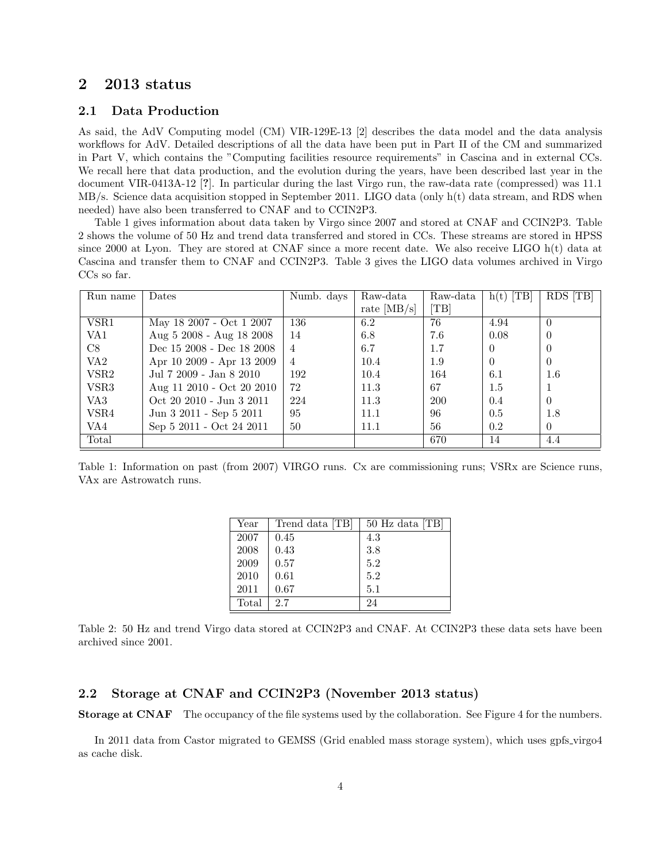## 2 2013 status

#### 2.1 Data Production

As said, the AdV Computing model (CM) VIR-129E-13 [2] describes the data model and the data analysis workflows for AdV. Detailed descriptions of all the data have been put in Part II of the CM and summarized in Part V, which contains the "Computing facilities resource requirements" in Cascina and in external CCs. We recall here that data production, and the evolution during the years, have been described last year in the document VIR-0413A-12 [?]. In particular during the last Virgo run, the raw-data rate (compressed) was 11.1 MB/s. Science data acquisition stopped in September 2011. LIGO data (only h(t) data stream, and RDS when needed) have also been transferred to CNAF and to CCIN2P3.

Table 1 gives information about data taken by Virgo since 2007 and stored at CNAF and CCIN2P3. Table 2 shows the volume of 50 Hz and trend data transferred and stored in CCs. These streams are stored in HPSS since 2000 at Lyon. They are stored at CNAF since a more recent date. We also receive LIGO h(t) data at Cascina and transfer them to CNAF and CCIN2P3. Table 3 gives the LIGO data volumes archived in Virgo CCs so far.

| Run name         | Dates                     | Numb. days     | Raw-data      | Raw-data | $h(t)$ [TB] | RDS [TB] |
|------------------|---------------------------|----------------|---------------|----------|-------------|----------|
|                  |                           |                | rate $[MB/s]$ | [TB]     |             |          |
| VSR1             | May 18 2007 - Oct 1 2007  | 136            | 6.2           | 76       | 4.94        | $\Omega$ |
| VA <sub>1</sub>  | Aug 5 2008 - Aug 18 2008  | 14             | 6.8           | 7.6      | 0.08        | $\theta$ |
| C8               | Dec 15 2008 - Dec 18 2008 | $\overline{4}$ | 6.7           | 1.7      | $\theta$    | $\theta$ |
| VA <sub>2</sub>  | Apr 10 2009 - Apr 13 2009 | $\overline{4}$ | 10.4          | 1.9      | $\Omega$    | $\theta$ |
| VSR <sub>2</sub> | Jul 7 2009 - Jan 8 2010   | 192            | 10.4          | 164      | 6.1         | 1.6      |
| VSR <sub>3</sub> | Aug 11 2010 - Oct 20 2010 | 72             | 11.3          | 67       | $1.5\,$     |          |
| VA3              | Oct 20 2010 - Jun 3 2011  | 224            | 11.3          | 200      | 0.4         | 0        |
| VSR4             | Jun 3 2011 - Sep 5 2011   | 95             | 11.1          | 96       | 0.5         | 1.8      |
| VA4              | Sep 5 2011 - Oct 24 2011  | 50             | 11.1          | 56       | 0.2         | $\theta$ |
| Total            |                           |                |               | 670      | 14          | 4.4      |

Table 1: Information on past (from 2007) VIRGO runs. Cx are commissioning runs; VSRx are Science runs, VAx are Astrowatch runs.

| Year  | Trend data [TB] | 50 Hz data [TB] |
|-------|-----------------|-----------------|
| 2007  | 0.45            | 4.3             |
| 2008  | 0.43            | 3.8             |
| 2009  | 0.57            | 5.2             |
| 2010  | 0.61            | 5.2             |
| 2011  | 0.67            | 5.1             |
| Total | 27              | 24              |

Table 2: 50 Hz and trend Virgo data stored at CCIN2P3 and CNAF. At CCIN2P3 these data sets have been archived since 2001.

### 2.2 Storage at CNAF and CCIN2P3 (November 2013 status)

Storage at CNAF The occupancy of the file systems used by the collaboration. See Figure 4 for the numbers.

In 2011 data from Castor migrated to GEMSS (Grid enabled mass storage system), which uses gpfs virgo4 as cache disk.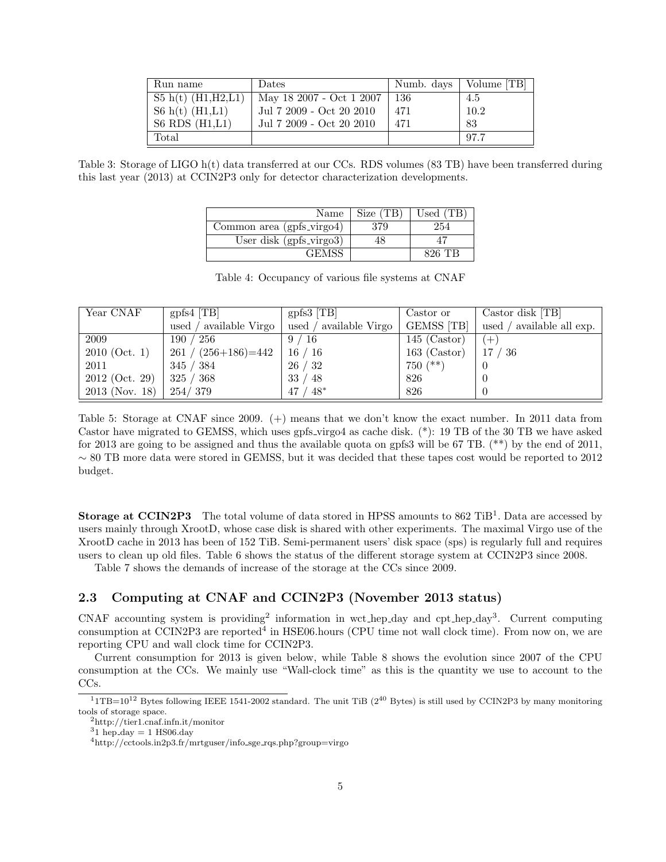| Run name               | Dates                    | Numb. days | Volume [TB] |
|------------------------|--------------------------|------------|-------------|
| $S5 h(t)$ (H1, H2, L1) | May 18 2007 - Oct 1 2007 | 136        | 4.5         |
| $S6h(t)$ (H1,L1)       | Jul 7 2009 - Oct 20 2010 | 471        | 10.2        |
| S6 RDS $(H1,L1)$       | Jul 7 2009 - Oct 20 2010 | 471        | 83          |
| Total                  |                          |            | 97.7        |

Table 3: Storage of LIGO h(t) data transferred at our CCs. RDS volumes (83 TB) have been transferred during this last year (2013) at CCIN2P3 only for detector characterization developments.

| Name                       | Size (TB) | Used   |
|----------------------------|-----------|--------|
| Common area (gpfs_virgo4)  | 379       | 254    |
| User disk $(gpfs\_virgo3)$ |           |        |
| 14EM)                      |           | 896 TR |

Table 4: Occupancy of various file systems at CNAF

| Year CNAF        | $gpfs4$ [TB]                       | $gpfs3$ [TB]            | Castor or         | Castor disk [TB]          |
|------------------|------------------------------------|-------------------------|-------------------|---------------------------|
|                  | $\prime$ available Virgo<br>used / | used / available Virgo  | <b>GEMSS</b> [TB] | used / available all exp. |
| 2009             | 190<br>$^{\prime}$ 256             | 9/16                    | $145$ (Castor)    | $+$ !                     |
| $2010$ (Oct. 1)  | $261 / (256 + 186) = 442$          | 16/16                   | $163$ (Castor)    | 17<br>' 36                |
| 2011             | 345 / 384                          | 26/32                   | $750$ $(**)$      | $\theta$                  |
| $2012$ (Oct. 29) | 325/368                            | / 48<br>33 <sub>l</sub> | 826               | $\theta$                  |
| $2013$ (Nov. 18) | 254/379                            | $48^*$<br>47            | 826               | $\theta$                  |

Table 5: Storage at CNAF since 2009. (+) means that we don't know the exact number. In 2011 data from Castor have migrated to GEMSS, which uses gpfs virgo4 as cache disk. (\*): 19 TB of the 30 TB we have asked for 2013 are going to be assigned and thus the available quota on gpfs3 will be 67 TB. (\*\*) by the end of 2011,  $\sim$  80 TB more data were stored in GEMSS, but it was decided that these tapes cost would be reported to 2012 budget.

**Storage at CCIN2P3** The total volume of data stored in HPSS amounts to  $862$  TiB<sup>1</sup>. Data are accessed by users mainly through XrootD, whose case disk is shared with other experiments. The maximal Virgo use of the XrootD cache in 2013 has been of 152 TiB. Semi-permanent users' disk space (sps) is regularly full and requires users to clean up old files. Table 6 shows the status of the different storage system at CCIN2P3 since 2008.

Table 7 shows the demands of increase of the storage at the CCs since 2009.

#### 2.3 Computing at CNAF and CCIN2P3 (November 2013 status)

CNAF accounting system is providing<sup>2</sup> information in wct hep day and cpt hep day<sup>3</sup>. Current computing consumption at CCIN2P3 are reported<sup>4</sup> in HSE06.hours (CPU time not wall clock time). From now on, we are reporting CPU and wall clock time for CCIN2P3.

Current consumption for 2013 is given below, while Table 8 shows the evolution since 2007 of the CPU consumption at the CCs. We mainly use "Wall-clock time" as this is the quantity we use to account to the CCs.

 $11$ TB=10<sup>12</sup> Bytes following IEEE 1541-2002 standard. The unit TiB (2<sup>40</sup> Bytes) is still used by CCIN2P3 by many monitoring tools of storage space.

<sup>2</sup>http://tier1.cnaf.infn.it/monitor

 $31$  hep day = 1 HS06.day

<sup>4</sup>http://cctools.in2p3.fr/mrtguser/info sge rqs.php?group=virgo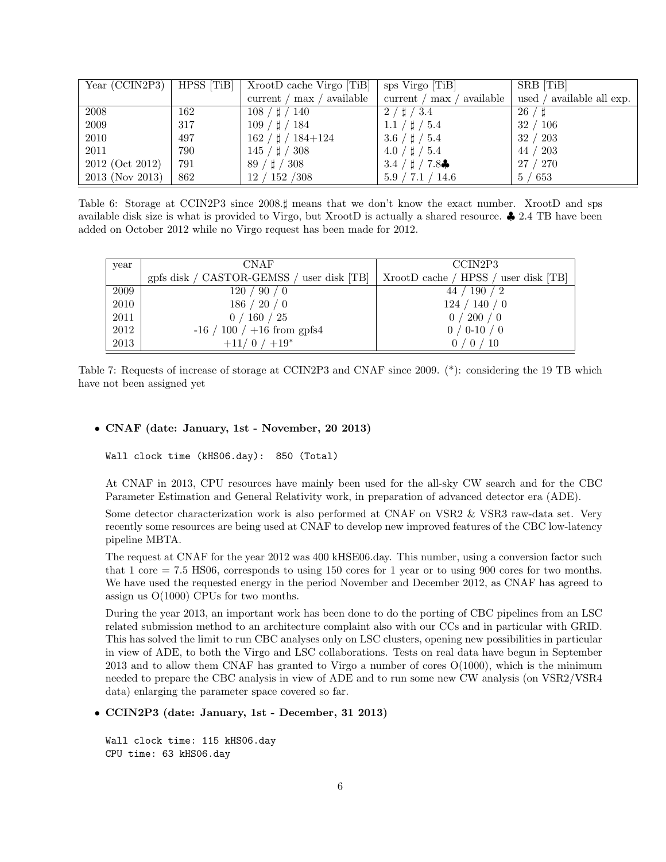| Year (CCIN2P3)  | HPSS [TiB] | XrootD cache Virgo [TiB]      | sps Virgo [TiB]                    | SRB [TiB]                 |
|-----------------|------------|-------------------------------|------------------------------------|---------------------------|
|                 |            | available<br>current /<br>max | available<br>current / max         | used / available all exp. |
| 2008            | 162        | $108 / \sharp / 140$          | $2 / \sharp / 3.4$                 | 26/1                      |
| 2009            | 317        | $109 / \sharp / 184$          | $1.1 / \sharp / 5.4$               | 32/106                    |
| 2010            | 497        | $162 / \sharp / 184 + 124$    | $3.6 / \sharp / 5.4$               | 32 / 203                  |
| 2011            | 790        | $145 / \sharp / 308$          | $4.0 / \sharp / 5.4$               | 44 / 203                  |
| 2012 (Oct 2012) | 791        | $89 / \sharp / 308$           | 3.4 $/$ $\sharp$ / 7.8 $\clubsuit$ | 27 / 270                  |
| 2013 (Nov 2013) | 862        | 12 / 152 / 308                | 5.9 / 7.1 / 14.6                   | 5/653                     |

Table 6: Storage at CCIN2P3 since 2008. $\sharp$  means that we don't know the exact number. XrootD and sps available disk size is what is provided to Virgo, but XrootD is actually a shared resource. ♣ 2.4 TB have been added on October 2012 while no Virgo request has been made for 2012.

| year | <b>CNAF</b>                               | CCIN2P3                              |
|------|-------------------------------------------|--------------------------------------|
|      | gpfs disk / CASTOR-GEMSS / user disk [TB] | XrootD cache / HPSS / user disk [TB] |
| 2009 | $\prime$ 90 / 0<br>120 /                  | 190/2<br>447                         |
| 2010 | 186 / 20 / 0                              | 124 / 140 / 0                        |
| 2011 | ' 160 / 25<br>0/                          | 200/0                                |
| 2012 | $100 / +16$ from gpfs4<br>-16 /           | 0/0.10/0                             |
| 2013 | $+11/0$ / $+19*$                          | $\sqrt{10}$                          |

Table 7: Requests of increase of storage at CCIN2P3 and CNAF since 2009. (\*): considering the 19 TB which have not been assigned yet

#### • CNAF (date: January, 1st - November, 20 2013)

Wall clock time (kHS06.day): 850 (Total)

At CNAF in 2013, CPU resources have mainly been used for the all-sky CW search and for the CBC Parameter Estimation and General Relativity work, in preparation of advanced detector era (ADE).

Some detector characterization work is also performed at CNAF on VSR2 & VSR3 raw-data set. Very recently some resources are being used at CNAF to develop new improved features of the CBC low-latency pipeline MBTA.

The request at CNAF for the year 2012 was 400 kHSE06.day. This number, using a conversion factor such that 1 core = 7.5 HS06, corresponds to using 150 cores for 1 year or to using 900 cores for two months. We have used the requested energy in the period November and December 2012, as CNAF has agreed to assign us O(1000) CPUs for two months.

During the year 2013, an important work has been done to do the porting of CBC pipelines from an LSC related submission method to an architecture complaint also with our CCs and in particular with GRID. This has solved the limit to run CBC analyses only on LSC clusters, opening new possibilities in particular in view of ADE, to both the Virgo and LSC collaborations. Tests on real data have begun in September 2013 and to allow them CNAF has granted to Virgo a number of cores  $O(1000)$ , which is the minimum needed to prepare the CBC analysis in view of ADE and to run some new CW analysis (on VSR2/VSR4 data) enlarging the parameter space covered so far.

#### • CCIN2P3 (date: January, 1st - December, 31 2013)

Wall clock time: 115 kHS06.day CPU time: 63 kHS06.day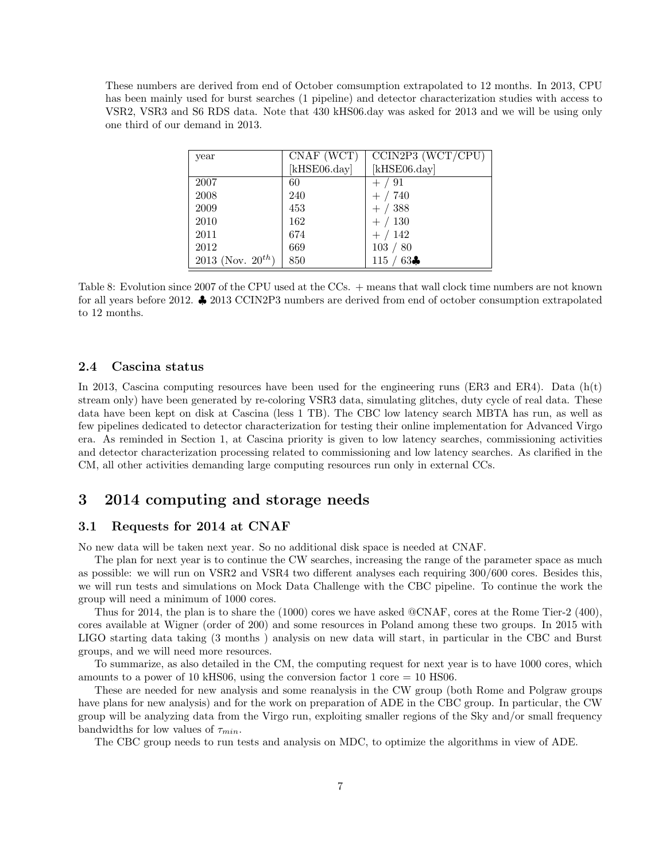These numbers are derived from end of October comsumption extrapolated to 12 months. In 2013, CPU has been mainly used for burst searches (1 pipeline) and detector characterization studies with access to VSR2, VSR3 and S6 RDS data. Note that 430 kHS06.day was asked for 2013 and we will be using only one third of our demand in 2013.

| year                   | CNAF (WCT)   | CCIN2P3 (WCT/CPU)      |
|------------------------|--------------|------------------------|
|                        | [kHSE06.day] | $[kHSE06 \text{.day}]$ |
| 2007                   | 60           | $+ / 91$               |
| 2008                   | 240          | $+ / 740$              |
| 2009                   | 453          | $+ / 388$              |
| 2010                   | 162          | $+ / 130$              |
| 2011                   | 674          | $+ / 142$              |
| 2012                   | 669          | 103 / 80               |
| 2013 (Nov. $20^{th}$ ) | 850          | 63 <sub>o</sub><br>115 |

Table 8: Evolution since 2007 of the CPU used at the CCs. + means that wall clock time numbers are not known for all years before 2012. ♣ 2013 CCIN2P3 numbers are derived from end of october consumption extrapolated to 12 months.

#### 2.4 Cascina status

In 2013, Cascina computing resources have been used for the engineering runs (ER3 and ER4). Data  $(h(t))$ stream only) have been generated by re-coloring VSR3 data, simulating glitches, duty cycle of real data. These data have been kept on disk at Cascina (less 1 TB). The CBC low latency search MBTA has run, as well as few pipelines dedicated to detector characterization for testing their online implementation for Advanced Virgo era. As reminded in Section 1, at Cascina priority is given to low latency searches, commissioning activities and detector characterization processing related to commissioning and low latency searches. As clarified in the CM, all other activities demanding large computing resources run only in external CCs.

### 3 2014 computing and storage needs

#### 3.1 Requests for 2014 at CNAF

No new data will be taken next year. So no additional disk space is needed at CNAF.

The plan for next year is to continue the CW searches, increasing the range of the parameter space as much as possible: we will run on VSR2 and VSR4 two different analyses each requiring 300/600 cores. Besides this, we will run tests and simulations on Mock Data Challenge with the CBC pipeline. To continue the work the group will need a minimum of 1000 cores.

Thus for 2014, the plan is to share the (1000) cores we have asked @CNAF, cores at the Rome Tier-2 (400), cores available at Wigner (order of 200) and some resources in Poland among these two groups. In 2015 with LIGO starting data taking (3 months ) analysis on new data will start, in particular in the CBC and Burst groups, and we will need more resources.

To summarize, as also detailed in the CM, the computing request for next year is to have 1000 cores, which amounts to a power of 10 kHS06, using the conversion factor 1 core  $= 10$  HS06.

These are needed for new analysis and some reanalysis in the CW group (both Rome and Polgraw groups have plans for new analysis) and for the work on preparation of ADE in the CBC group. In particular, the CW group will be analyzing data from the Virgo run, exploiting smaller regions of the Sky and/or small frequency bandwidths for low values of  $\tau_{min}$ .

The CBC group needs to run tests and analysis on MDC, to optimize the algorithms in view of ADE.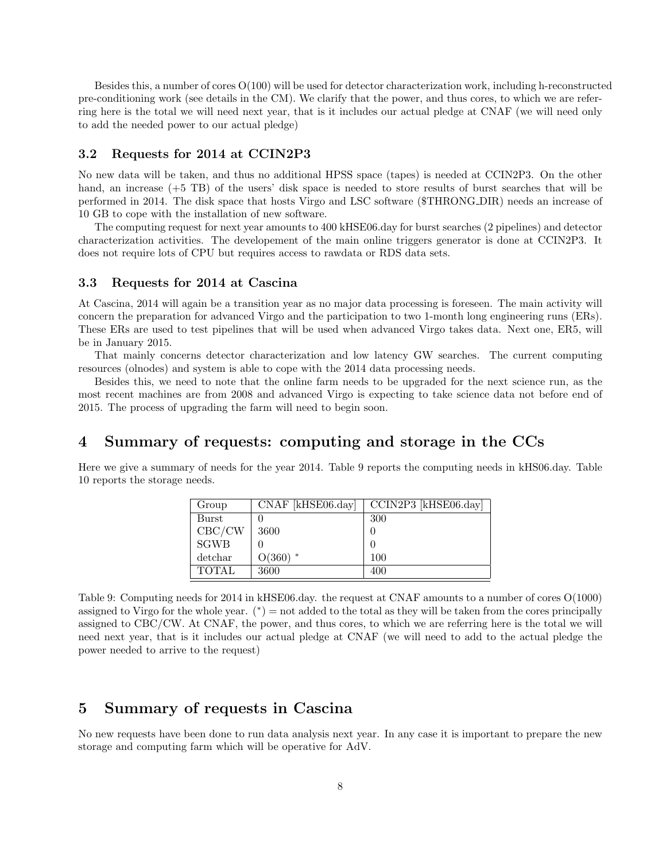Besides this, a number of cores  $O(100)$  will be used for detector characterization work, including h-reconstructed pre-conditioning work (see details in the CM). We clarify that the power, and thus cores, to which we are referring here is the total we will need next year, that is it includes our actual pledge at CNAF (we will need only to add the needed power to our actual pledge)

#### 3.2 Requests for 2014 at CCIN2P3

No new data will be taken, and thus no additional HPSS space (tapes) is needed at CCIN2P3. On the other hand, an increase (+5 TB) of the users' disk space is needed to store results of burst searches that will be performed in 2014. The disk space that hosts Virgo and LSC software (\$THRONG DIR) needs an increase of 10 GB to cope with the installation of new software.

The computing request for next year amounts to 400 kHSE06.day for burst searches (2 pipelines) and detector characterization activities. The developement of the main online triggers generator is done at CCIN2P3. It does not require lots of CPU but requires access to rawdata or RDS data sets.

#### 3.3 Requests for 2014 at Cascina

At Cascina, 2014 will again be a transition year as no major data processing is foreseen. The main activity will concern the preparation for advanced Virgo and the participation to two 1-month long engineering runs (ERs). These ERs are used to test pipelines that will be used when advanced Virgo takes data. Next one, ER5, will be in January 2015.

That mainly concerns detector characterization and low latency GW searches. The current computing resources (olnodes) and system is able to cope with the 2014 data processing needs.

Besides this, we need to note that the online farm needs to be upgraded for the next science run, as the most recent machines are from 2008 and advanced Virgo is expecting to take science data not before end of 2015. The process of upgrading the farm will need to begin soon.

## 4 Summary of requests: computing and storage in the CCs

Here we give a summary of needs for the year 2014. Table 9 reports the computing needs in kHS06.day. Table 10 reports the storage needs.

| Group        | $CNAF$ [kHSE06.day] | CCIN2P3 [kHSE06.day] |
|--------------|---------------------|----------------------|
| Burst        |                     | 300                  |
| CBC/CW       | 3600                |                      |
| <b>SGWB</b>  |                     |                      |
| detchar      | $O(360)$ *          | 100                  |
| <b>TOTAL</b> | 3600                | 400                  |

Table 9: Computing needs for 2014 in kHSE06.day. the request at CNAF amounts to a number of cores O(1000) assigned to Virgo for the whole year.  $(*) = not$  added to the total as they will be taken from the cores principally assigned to CBC/CW. At CNAF, the power, and thus cores, to which we are referring here is the total we will need next year, that is it includes our actual pledge at CNAF (we will need to add to the actual pledge the power needed to arrive to the request)

## 5 Summary of requests in Cascina

No new requests have been done to run data analysis next year. In any case it is important to prepare the new storage and computing farm which will be operative for AdV.